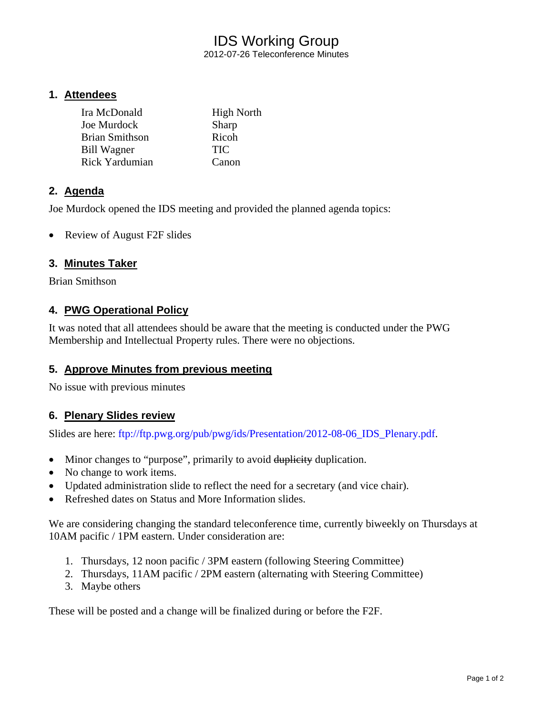# IDS Working Group

2012-07-26 Teleconference Minutes

### **1. Attendees**

| Ira McDonald          | <b>High North</b> |
|-----------------------|-------------------|
| Joe Murdock           | Sharp             |
| <b>Brian Smithson</b> | Ricoh             |
| <b>Bill Wagner</b>    | <b>TIC</b>        |
| Rick Yardumian        | Canon             |

# **2. Agenda**

Joe Murdock opened the IDS meeting and provided the planned agenda topics:

• Review of August F2F slides

# **3. Minutes Taker**

Brian Smithson

# **4. PWG Operational Policy**

It was noted that all attendees should be aware that the meeting is conducted under the PWG Membership and Intellectual Property rules. There were no objections.

#### **5. Approve Minutes from previous meeting**

No issue with previous minutes

#### **6. Plenary Slides review**

Slides are here: ftp://ftp.pwg.org/pub/pwg/ids/Presentation/2012-08-06\_IDS\_Plenary.pdf.

- Minor changes to "purpose", primarily to avoid duplicity duplication.
- No change to work items.
- Updated administration slide to reflect the need for a secretary (and vice chair).
- Refreshed dates on Status and More Information slides.

We are considering changing the standard teleconference time, currently biweekly on Thursdays at 10AM pacific / 1PM eastern. Under consideration are:

- 1. Thursdays, 12 noon pacific / 3PM eastern (following Steering Committee)
- 2. Thursdays, 11AM pacific / 2PM eastern (alternating with Steering Committee)
- 3. Maybe others

These will be posted and a change will be finalized during or before the F2F.